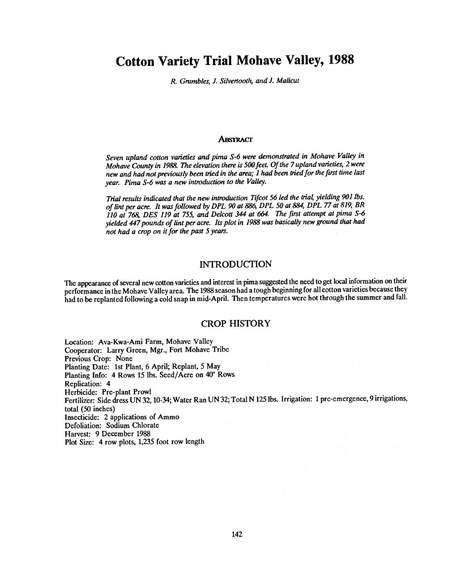# Cotton Variety Trial Mohave Valley, 1988

R. Grumbles, J. Silvertooth, and J. Malicut

#### ABSTRACT

Seven upland cotton varieties and pima S-6 were demonstrated in Mohave Valley in Mohave County in 1988. The elevation there is 500 feet. Of the 7 upland varieties, 2 were new and had not previously been tried in the area; 1 had been tried for the first time last year. Pima S-6 was a new introduction to the Valley.

Trial results indicated that the new introduction Tifcot 56 led the trial, yielding 901 lbs. of lint per acre. It was followed by DPL 90 at 886, DPL 50 at 884, DPL 77 at 819, BR 110 at 768, DES 119 at 755, and Delcott 344 at 664. The first attempt at pima S-6 yielded 447 pounds of lint per acre. Its plot in 1988 was basically new ground that had not had a crop on it for the past 5 years.

### INTRODUCTION

The appearance of several new cotton varieties and interest in pima suggested the need to get localinformation on their performance in the Mohave Valley area. The 1988 season had a tough beginning for all cotton varieties because they had to be replanted following a cold snap in mid-April. Then temperatures were hot through the summer and fall.

#### CROP HISTORY

Location: Ava-Kwa-Ami Farm, Mohave Valley Cooperator: Larry Green, Mgr., Fort Mohave Tribe Previous Crop: None Planting Date: 1st Plant, 6 April; Replant, 5 May Planting Info: 4 Rows 15 lbs. Seed/Acre on 40" Rows Replication: 4 Herbicide: Pre-plant Prowl Fertilizer: Side dress UN 32, 10-34; Water Ran UN 32; Total N 125 lbs. Irrigation: 1 pre-emergence, 9 irrigations, total (50 inches) Insecticide: 2 applications of Ammo Defoliation: Sodium Chlorate Harvest: 9 December 1988 Plot Size: 4 row plots, 1,235 foot row length